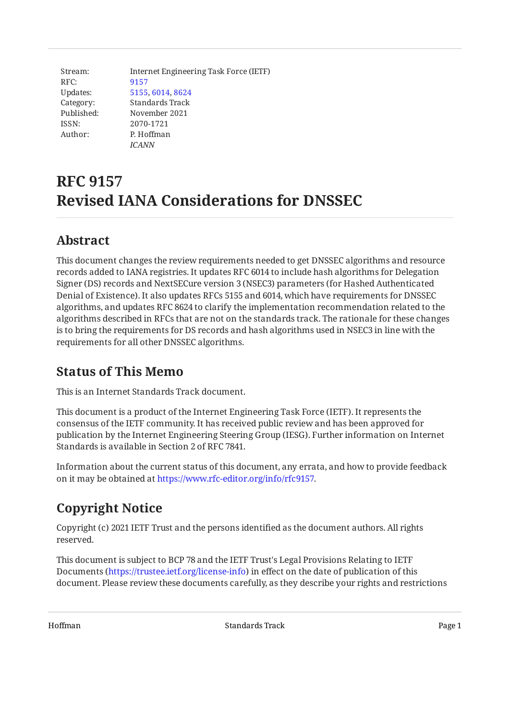Stream: RFC: Updates: Category: Published: ISSN: Author: Internet Engineering Task Force (IETF) [9157](https://www.rfc-editor.org/rfc/rfc9157) [5155,](https://www.rfc-editor.org/rfc/rfc5155) [6014](https://www.rfc-editor.org/rfc/rfc6014), [8624](https://www.rfc-editor.org/rfc/rfc8624) Standards Track November 2021 2070-1721 P. Hoffman *ICANN*

# **RFC 9157 Revised IANA Considerations for DNSSEC**

### <span id="page-0-0"></span>**[Abstract](#page-0-0)**

This document changes the review requirements needed to get DNSSEC algorithms and resource records added to IANA registries. It updates RFC 6014 to include hash algorithms for Delegation Signer (DS) records and NextSECure version 3 (NSEC3) parameters (for Hashed Authenticated Denial of Existence). It also updates RFCs 5155 and 6014, which have requirements for DNSSEC algorithms, and updates RFC 8624 to clarify the implementation recommendation related to the algorithms described in RFCs that are not on the standards track. The rationale for these changes is to bring the requirements for DS records and hash algorithms used in NSEC3 in line with the requirements for all other DNSSEC algorithms.

### <span id="page-0-1"></span>**[Status of This Memo](#page-0-1)**

This is an Internet Standards Track document.

This document is a product of the Internet Engineering Task Force (IETF). It represents the consensus of the IETF community. It has received public review and has been approved for publication by the Internet Engineering Steering Group (IESG). Further information on Internet Standards is available in Section 2 of RFC 7841.

Information about the current status of this document, any errata, and how to provide feedback on it may be obtained at [https://www.rfc-editor.org/info/rfc9157.](https://www.rfc-editor.org/info/rfc9157)

## <span id="page-0-2"></span>**[Copyright Notice](#page-0-2)**

Copyright (c) 2021 IETF Trust and the persons identified as the document authors. All rights reserved.

This document is subject to BCP 78 and the IETF Trust's Legal Provisions Relating to IETF Documents (<https://trustee.ietf.org/license-info>) in effect on the date of publication of this document. Please review these documents carefully, as they describe your rights and restrictions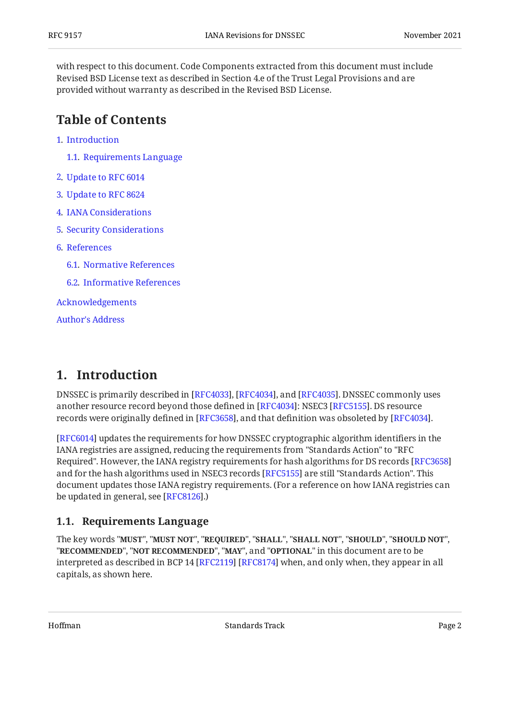with respect to this document. Code Components extracted from this document must include Revised BSD License text as described in Section 4.e of the Trust Legal Provisions and are provided without warranty as described in the Revised BSD License.

#### <span id="page-1-0"></span>**[Table of Contents](#page-1-0)**

- [1](#page-1-1). [Introduction](#page-1-1)
	- [1.1.](#page-1-2) [Requirements Language](#page-1-2)
- [2](#page-2-0). [Update to RFC 6014](#page-2-0)
- [3](#page-2-1). [Update to RFC 8624](#page-2-1)
- [4](#page-2-2). [IANA Considerations](#page-2-2)
- [5](#page-3-0). [Security Considerations](#page-3-0)
- [6](#page-3-1). [References](#page-3-1)
	- [6.1.](#page-3-2) [Normative References](#page-3-2)
	- [6.2.](#page-4-0) [Informative References](#page-4-0)

[Acknowledgements](#page-4-1)

[Author's Address](#page-4-2)

#### <span id="page-1-1"></span>**[1. Introduction](#page-1-1)**

DNSSEC is primarily described in [\[RFC4033\]](#page-3-3), [[RFC4034\]](#page-3-4), and [[RFC4035\]](#page-3-5). DNSSEC commonly uses another resource record beyond those defined in [[RFC4034\]](#page-3-4): NSEC3 [\[RFC5155](#page-3-6)]. DS resource records were originally defined in [\[RFC3658](#page-4-3)], and that definition was obsoleted by [RFC4034].

[[RFC6014\]](#page-3-7) updates the requirements for how DNSSEC cryptographic algorithm identifiers in the IANA registries are assigned, reducing the requirements from "Standards Action" to "RFC Required". However, the IANA registry requirements for hash algorithms for DS records [[RFC3658\]](#page-4-3) and for the hash algorithms used in NSEC3 records [RFC5155] are still "Standards Action". This document updates those IANA registry requirements. (For a reference on how IANA registries can be updated in general, see [\[RFC8126\]](#page-3-8).)

#### <span id="page-1-2"></span>**[1.1. Requirements Language](#page-1-2)**

The key words "MUST", "MUST NOT", "REQUIRED", "SHALL", "SHALL NOT", "SHOULD", "SHOULD NOT", "**RECOMMENDED", "NOT RECOMMENDED", "MAY",** and "OPTIONAL" in this document are to be interpreted as described in BCP 14 [RFC2119] [RFC8174] when, and only when, they appear in all capitals, as shown here.

Hoffman Standards Track Page 2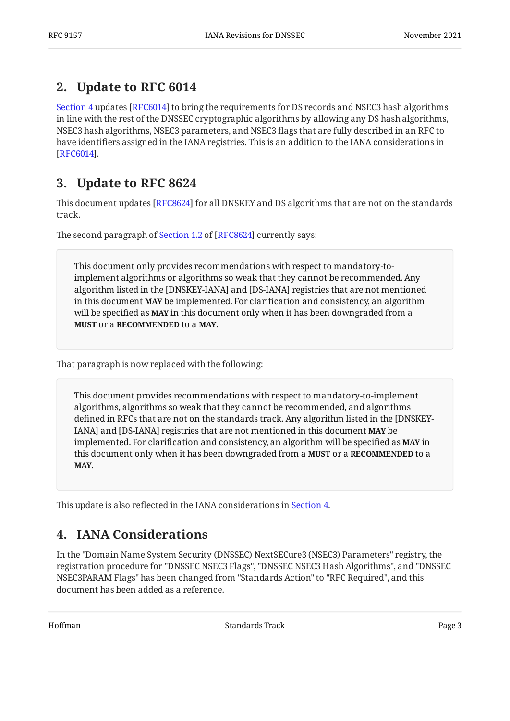#### <span id="page-2-0"></span>**[2. Update to RFC 6014](#page-2-0)**

[Section 4](#page-2-2) updates [RFC6014] to bring the requirements for DS records and NSEC3 hash algorithms in line with the rest of the DNSSEC cryptographic algorithms by allowing any DS hash algorithms, NSEC3 hash algorithms, NSEC3 parameters, and NSEC3 flags that are fully described in an RFC to have identifiers assigned in the IANA registries. This is an addition to the IANA considerations in . [[RFC6014\]](#page-3-7)

### <span id="page-2-1"></span>**[3. Update to RFC 8624](#page-2-1)**

This document updates [\[RFC8624\]](#page-4-5) for all DNSKEY and DS algorithms that are not on the standards track.

Thesecond paragraph of Section 1.2 of [RFC8624] currently says:

This document only provides recommendations with respect to mandatory-toimplement algorithms or algorithms so weak that they cannot be recommended. Any algorithm listed in the [DNSKEY-IANA] and [DS-IANA] registries that are not mentioned in this document **MAY** be implemented. For clarification and consistency, an algorithm will be specified as **MAY** in this document only when it has been downgraded from a **MUST Or a RECOMMENDED to a MAY.** 

That paragraph is now replaced with the following:

This document provides recommendations with respect to mandatory-to-implement algorithms, algorithms so weak that they cannot be recommended, and algorithms defined in RFCs that are not on the standards track. Any algorithm listed in the [DNSKEY-IANA] and [DS-IANA] registries that are not mentioned in this document **MAY** be implemented. For clarification and consistency, an algorithm will be specified as **MAY** in this document only when it has been downgraded from a **MUST** or a **RECOMMENDED** to a . **MAY**

<span id="page-2-2"></span>This update is also reflected in the IANA considerations in [Section 4](#page-2-2).

#### **[4. IANA Considerations](#page-2-2)**

In the "Domain Name System Security (DNSSEC) NextSECure3 (NSEC3) Parameters" registry, the registration procedure for "DNSSEC NSEC3 Flags", "DNSSEC NSEC3 Hash Algorithms", and "DNSSEC NSEC3PARAM Flags" has been changed from "Standards Action" to "RFC Required", and this document has been added as a reference.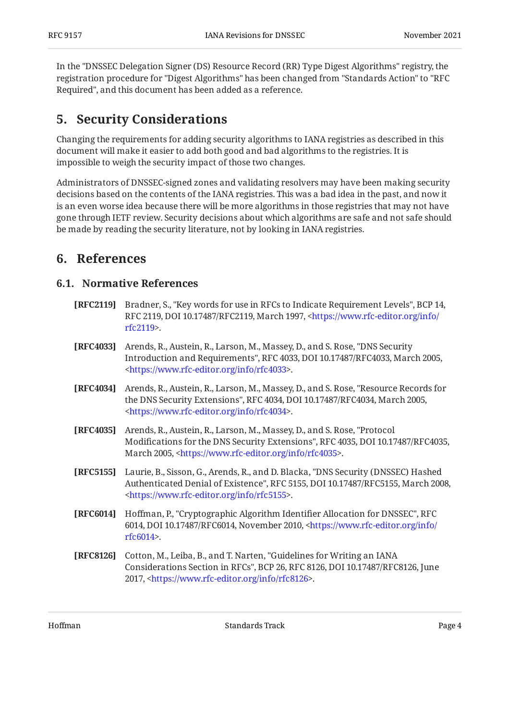In the "DNSSEC Delegation Signer (DS) Resource Record (RR) Type Digest Algorithms" registry, the registration procedure for "Digest Algorithms" has been changed from "Standards Action" to "RFC Required", and this document has been added as a reference.

#### <span id="page-3-0"></span>**[5. Security Considerations](#page-3-0)**

Changing the requirements for adding security algorithms to IANA registries as described in this document will make it easier to add both good and bad algorithms to the registries. It is impossible to weigh the security impact of those two changes.

Administrators of DNSSEC-signed zones and validating resolvers may have been making security decisions based on the contents of the IANA registries. This was a bad idea in the past, and now it is an even worse idea because there will be more algorithms in those registries that may not have gone through IETF review. Security decisions about which algorithms are safe and not safe should be made by reading the security literature, not by looking in IANA registries.

#### <span id="page-3-2"></span><span id="page-3-1"></span>**[6. References](#page-3-1)**

#### **[6.1. Normative References](#page-3-2)**

- <span id="page-3-9"></span>**[RFC2119]** Bradner, S., "Key words for use in RFCs to Indicate Requirement Levels", BCP 14, RFC 2119, DOI 10.17487/RFC2119, March 1997, [<https://www.rfc-editor.org/info/](https://www.rfc-editor.org/info/rfc2119) . [rfc2119](https://www.rfc-editor.org/info/rfc2119)>
- <span id="page-3-3"></span>**[RFC4033]** Arends, R., Austein, R., Larson, M., Massey, D., and S. Rose, "DNS Security Introduction and Requirements", RFC 4033, DOI 10.17487/RFC4033, March 2005, . [<https://www.rfc-editor.org/info/rfc4033](https://www.rfc-editor.org/info/rfc4033)>
- <span id="page-3-4"></span>**[RFC4034]** Arends, R., Austein, R., Larson, M., Massey, D., and S. Rose, "Resource Records for the DNS Security Extensions", RFC 4034, DOI 10.17487/RFC4034, March 2005, . [<https://www.rfc-editor.org/info/rfc4034](https://www.rfc-editor.org/info/rfc4034)>
- <span id="page-3-5"></span>**[RFC4035]** Arends, R., Austein, R., Larson, M., Massey, D., and S. Rose, "Protocol Modifications for the DNS Security Extensions", RFC 4035, DOI 10.17487/RFC4035, March 2005, [<https://www.rfc-editor.org/info/rfc4035](https://www.rfc-editor.org/info/rfc4035)>.
- <span id="page-3-6"></span>**[RFC5155]** Laurie, B., Sisson, G., Arends, R., and D. Blacka, "DNS Security (DNSSEC) Hashed Authenticated Denial of Existence", RFC 5155, DOI 10.17487/RFC5155, March 2008, . [<https://www.rfc-editor.org/info/rfc5155](https://www.rfc-editor.org/info/rfc5155)>
- <span id="page-3-7"></span>**[RFC6014]** Hoffman, P., "Cryptographic Algorithm Identifier Allocation for DNSSEC", RFC 6014, DOI 10.17487/RFC6014, November 2010, [<https://www.rfc-editor.org/info/](https://www.rfc-editor.org/info/rfc6014) . [rfc6014](https://www.rfc-editor.org/info/rfc6014)>
- <span id="page-3-8"></span>**[RFC8126]** Cotton, M., Leiba, B., and T. Narten, "Guidelines for Writing an IANA Considerations Section in RFCs", BCP 26, RFC 8126, DOI 10.17487/RFC8126, June 2017, <[https://www.rfc-editor.org/info/rfc8126>](https://www.rfc-editor.org/info/rfc8126).

Hoffman Standards Track Page 4